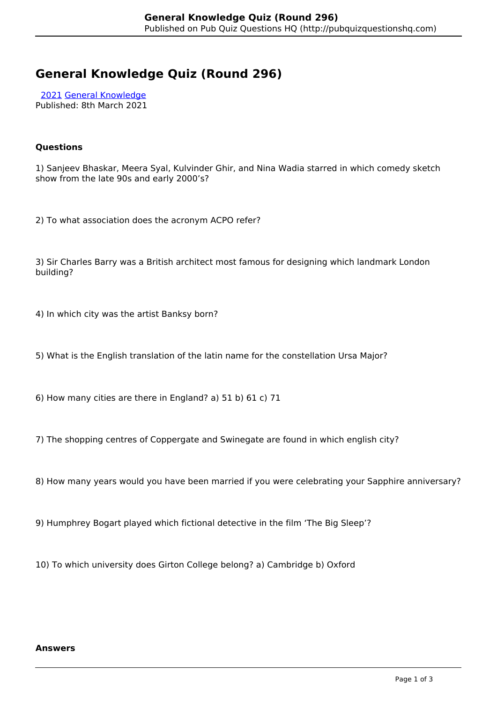# **General Knowledge Quiz (Round 296)**

 [2021](http://pubquizquestionshq.com/categories/2021) [General Knowledge](http://pubquizquestionshq.com/categories/general-knowledge) Published: 8th March 2021

## **Questions**

1) Sanjeev Bhaskar, Meera Syal, Kulvinder Ghir, and Nina Wadia starred in which comedy sketch show from the late 90s and early 2000's?

2) To what association does the acronym ACPO refer?

3) Sir Charles Barry was a British architect most famous for designing which landmark London building?

4) In which city was the artist Banksy born?

5) What is the English translation of the latin name for the constellation Ursa Major?

6) How many cities are there in England? a) 51 b) 61 c) 71

7) The shopping centres of Coppergate and Swinegate are found in which english city?

8) How many years would you have been married if you were celebrating your Sapphire anniversary?

9) Humphrey Bogart played which fictional detective in the film 'The Big Sleep'?

10) To which university does Girton College belong? a) Cambridge b) Oxford

#### **Answers**